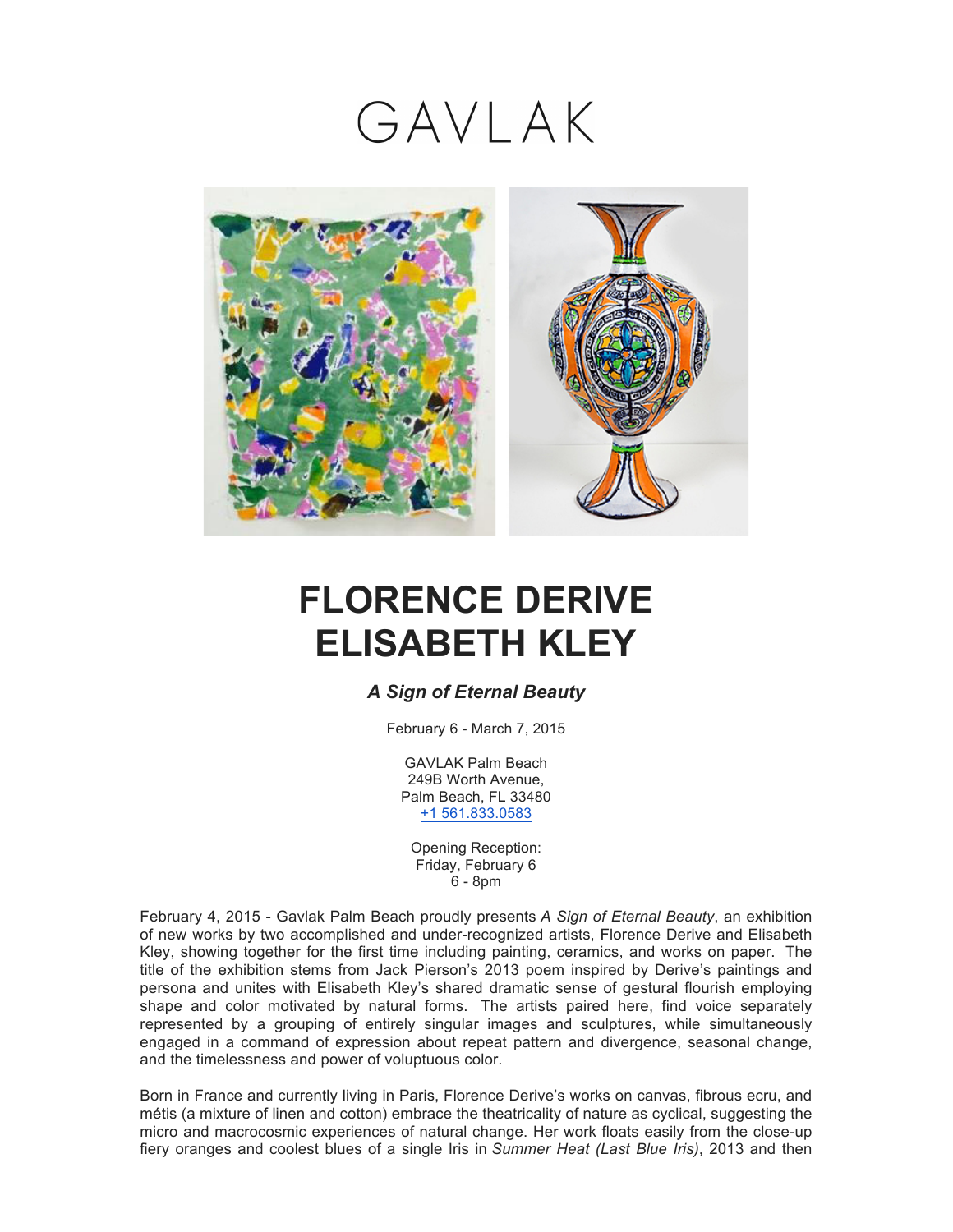## GAVLAK



## **FLORENCE DERIVE ELISABETH KLEY**

## *A Sign of Eternal Beauty*

February 6 - March 7, 2015

GAVLAK Palm Beach 249B Worth Avenue, Palm Beach, FL 33480 +1 561.833.0583

Opening Reception: Friday, February 6 6 - 8pm

February 4, 2015 - Gavlak Palm Beach proudly presents *A Sign of Eternal Beauty*, an exhibition of new works by two accomplished and under-recognized artists, Florence Derive and Elisabeth Kley, showing together for the first time including painting, ceramics, and works on paper. The title of the exhibition stems from Jack Pierson's 2013 poem inspired by Derive's paintings and persona and unites with Elisabeth Kley's shared dramatic sense of gestural flourish employing shape and color motivated by natural forms. The artists paired here, find voice separately represented by a grouping of entirely singular images and sculptures, while simultaneously engaged in a command of expression about repeat pattern and divergence, seasonal change, and the timelessness and power of voluptuous color.

Born in France and currently living in Paris, Florence Derive's works on canvas, fibrous ecru, and métis (a mixture of linen and cotton) embrace the theatricality of nature as cyclical, suggesting the micro and macrocosmic experiences of natural change. Her work floats easily from the close-up fiery oranges and coolest blues of a single Iris in *Summer Heat (Last Blue Iris)*, 2013 and then